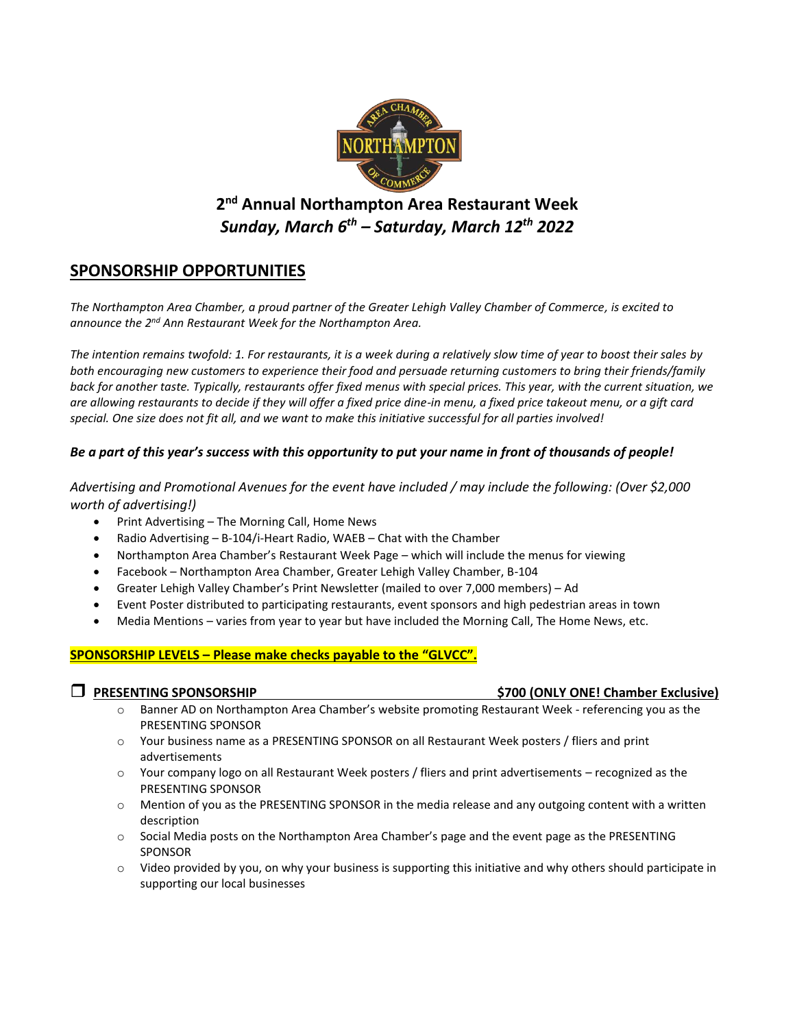

# **2 nd Annual Northampton Area Restaurant Week**  *Sunday, March 6 th – Saturday, March 12 th 2022*

# **SPONSORSHIP OPPORTUNITIES**

*The Northampton Area Chamber, a proud partner of the Greater Lehigh Valley Chamber of Commerce, is excited to*  announce the 2<sup>nd</sup> Ann Restaurant Week for the Northampton Area.

*The intention remains twofold: 1. For restaurants, it is a week during a relatively slow time of year to boost their sales by both encouraging new customers to experience their food and persuade returning customers to bring their friends/family back for another taste. Typically, restaurants offer fixed menus with special prices. This year, with the current situation, we are allowing restaurants to decide if they will offer a fixed price dine-in menu, a fixed price takeout menu, or a gift card special. One size does not fit all, and we want to make this initiative successful for all parties involved!* 

# *Be a part of this year's success with this opportunity to put your name in front of thousands of people!*

*Advertising and Promotional Avenues for the event have included / may include the following: (Over \$2,000 worth of advertising!)* 

- Print Advertising The Morning Call, Home News
- Radio Advertising B-104/i-Heart Radio, WAEB Chat with the Chamber
- Northampton Area Chamber's Restaurant Week Page which will include the menus for viewing
- Facebook Northampton Area Chamber, Greater Lehigh Valley Chamber, B-104
- Greater Lehigh Valley Chamber's Print Newsletter (mailed to over 7,000 members) Ad
- Event Poster distributed to participating restaurants, event sponsors and high pedestrian areas in town
- Media Mentions varies from year to year but have included the Morning Call, The Home News, etc.

## **SPONSORSHIP LEVELS – Please make checks payable to the "GLVCC".**

- **PRESENTING SPONSORSHIP \$700 (ONLY ONE! Chamber Exclusive)** 
	- o Banner AD on Northampton Area Chamber's website promoting Restaurant Week referencing you as the PRESENTING SPONSOR
	- o Your business name as a PRESENTING SPONSOR on all Restaurant Week posters / fliers and print advertisements
	- o Your company logo on all Restaurant Week posters / fliers and print advertisements recognized as the PRESENTING SPONSOR
	- $\circ$  Mention of you as the PRESENTING SPONSOR in the media release and any outgoing content with a written description
	- o Social Media posts on the Northampton Area Chamber's page and the event page as the PRESENTING SPONSOR
	- $\circ$  Video provided by you, on why your business is supporting this initiative and why others should participate in supporting our local businesses